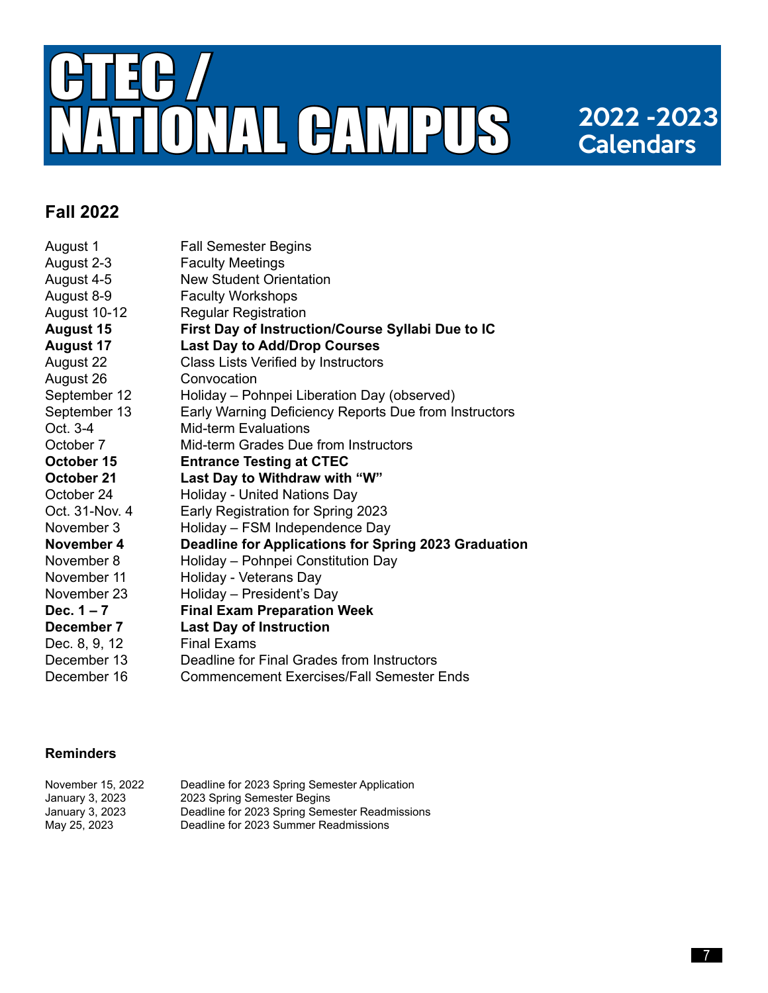

# **Calendars**

#### **Fall 2022**

| August 1         | <b>Fall Semester Begins</b>                           |
|------------------|-------------------------------------------------------|
| August 2-3       | <b>Faculty Meetings</b>                               |
| August 4-5       | <b>New Student Orientation</b>                        |
| August 8-9       | <b>Faculty Workshops</b>                              |
| August 10-12     | <b>Regular Registration</b>                           |
| <b>August 15</b> | First Day of Instruction/Course Syllabi Due to IC     |
| <b>August 17</b> | <b>Last Day to Add/Drop Courses</b>                   |
| August 22        | Class Lists Verified by Instructors                   |
| August 26        | Convocation                                           |
| September 12     | Holiday – Pohnpei Liberation Day (observed)           |
| September 13     | Early Warning Deficiency Reports Due from Instructors |
| Oct. 3-4         | <b>Mid-term Evaluations</b>                           |
| October 7        | Mid-term Grades Due from Instructors                  |
| October 15       | <b>Entrance Testing at CTEC</b>                       |
| October 21       | Last Day to Withdraw with "W"                         |
| October 24       | Holiday - United Nations Day                          |
| Oct. 31-Nov. 4   | Early Registration for Spring 2023                    |
| November 3       | Holiday - FSM Independence Day                        |
| November 4       | Deadline for Applications for Spring 2023 Graduation  |
| November 8       | Holiday - Pohnpei Constitution Day                    |
| November 11      | Holiday - Veterans Day                                |
| November 23      | Holiday - President's Day                             |
| Dec. $1 - 7$     | <b>Final Exam Preparation Week</b>                    |
| December 7       | <b>Last Day of Instruction</b>                        |
| Dec. 8, 9, 12    | <b>Final Exams</b>                                    |
| December 13      | Deadline for Final Grades from Instructors            |
| December 16      | <b>Commencement Exercises/Fall Semester Ends</b>      |

#### **Reminders**

| November 15, 2022 | Deadline for 2023 Spring Semester Application  |
|-------------------|------------------------------------------------|
| January 3, 2023   | 2023 Spring Semester Begins                    |
| January 3, 2023   | Deadline for 2023 Spring Semester Readmissions |
| May 25, 2023      | Deadline for 2023 Summer Readmissions          |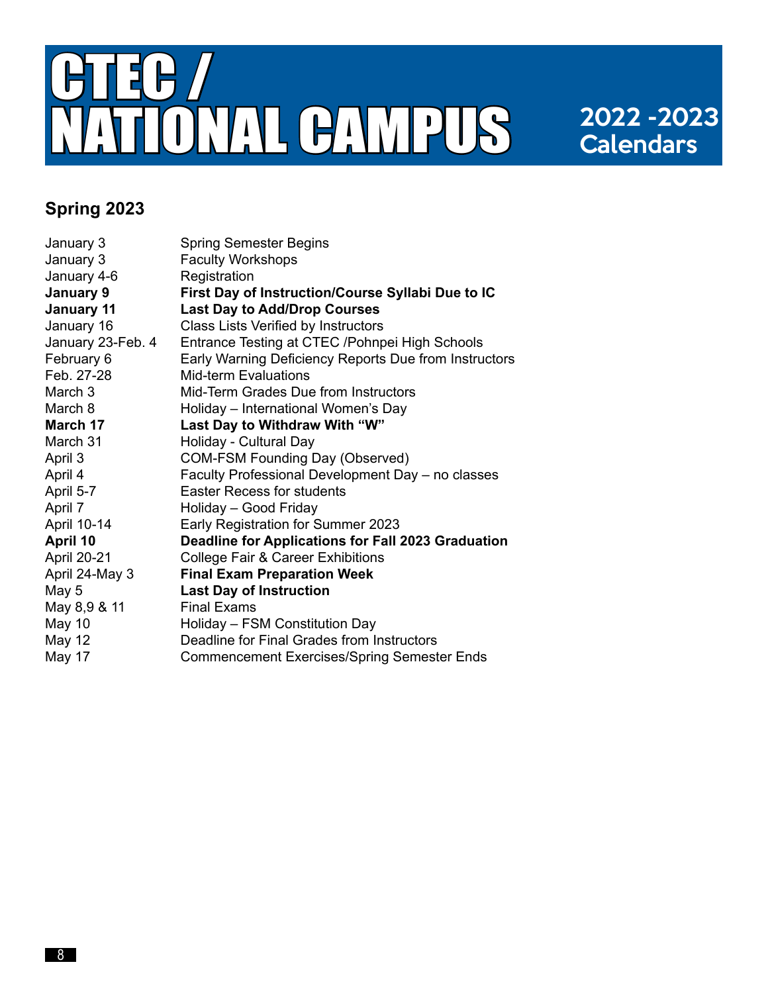

# **Calendars**

### **Spring 2023**

| January 3          | <b>Spring Semester Begins</b>                         |
|--------------------|-------------------------------------------------------|
| January 3          | <b>Faculty Workshops</b>                              |
| January 4-6        | Registration                                          |
| January 9          | First Day of Instruction/Course Syllabi Due to IC     |
| <b>January 11</b>  | <b>Last Day to Add/Drop Courses</b>                   |
| January 16         | Class Lists Verified by Instructors                   |
| January 23-Feb. 4  | Entrance Testing at CTEC /Pohnpei High Schools        |
| February 6         | Early Warning Deficiency Reports Due from Instructors |
| Feb. 27-28         | <b>Mid-term Evaluations</b>                           |
| March 3            | Mid-Term Grades Due from Instructors                  |
| March 8            | Holiday - International Women's Day                   |
| March 17           | Last Day to Withdraw With "W"                         |
| March 31           | Holiday - Cultural Day                                |
| April 3            | <b>COM-FSM Founding Day (Observed)</b>                |
| April 4            | Faculty Professional Development Day - no classes     |
| April 5-7          | <b>Easter Recess for students</b>                     |
| April 7            | Holiday - Good Friday                                 |
| April 10-14        | Early Registration for Summer 2023                    |
| April 10           | Deadline for Applications for Fall 2023 Graduation    |
| <b>April 20-21</b> | <b>College Fair &amp; Career Exhibitions</b>          |
| April 24-May 3     | <b>Final Exam Preparation Week</b>                    |
| May 5              | <b>Last Day of Instruction</b>                        |
| May 8,9 & 11       | <b>Final Exams</b>                                    |
| May 10             | Holiday - FSM Constitution Day                        |
| <b>May 12</b>      | Deadline for Final Grades from Instructors            |
| May 17             | <b>Commencement Exercises/Spring Semester Ends</b>    |